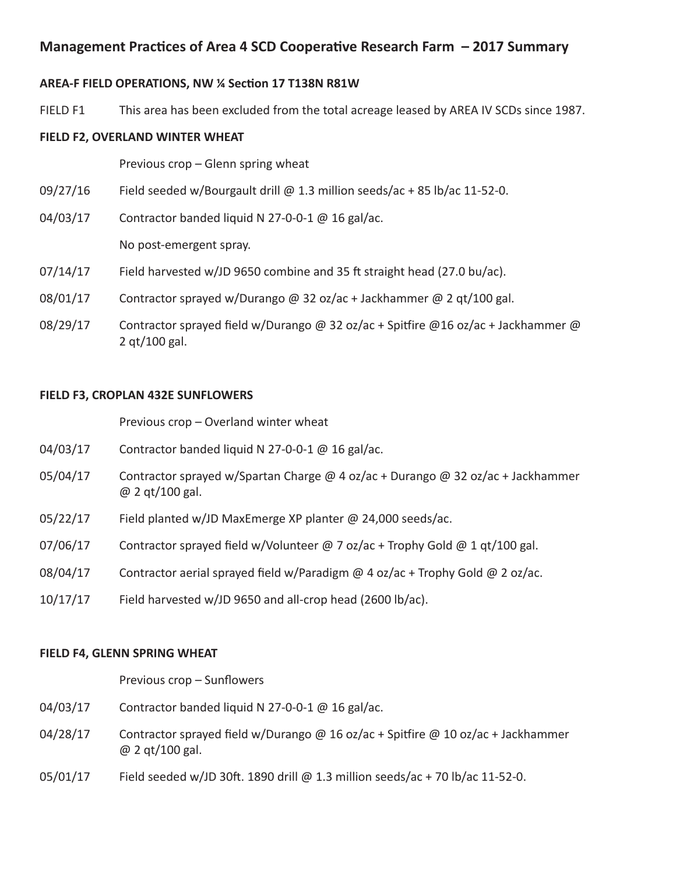# **Management Practices of Area 4 SCD Cooperative Research Farm – 2017 Summary**

#### **AREA-F FIELD OPERATIONS, NW ¼ Section 17 T138N R81W**

FIELD F1 This area has been excluded from the total acreage leased by AREA IV SCDs since 1987.

#### **FIELD F2, OVERLAND WINTER WHEAT**

Previous crop – Glenn spring wheat

- 09/27/16 Field seeded w/Bourgault drill @ 1.3 million seeds/ac + 85 lb/ac 11-52-0.
- 04/03/17 Contractor banded liquid N 27-0-0-1 @ 16 gal/ac.

No post-emergent spray.

- $07/14/17$  Field harvested w/JD 9650 combine and 35 ft straight head (27.0 bu/ac).
- 08/01/17 Contractor sprayed w/Durango @ 32 oz/ac + Jackhammer @ 2 qt/100 gal.
- 08/29/17 Contractor sprayed field w/Durango @ 32 oz/ac + Spitfire @16 oz/ac + Jackhammer @ 2 qt/100 gal.

## **FIELD F3, CROPLAN 432E SUNFLOWERS**

Previous crop – Overland winter wheat

- 04/03/17 Contractor banded liquid N 27-0-0-1 @ 16 gal/ac.
- 05/04/17 Contractor sprayed w/Spartan Charge @ 4 oz/ac + Durango @ 32 oz/ac + Jackhammer @ 2 qt/100 gal.
- 05/22/17 Field planted w/JD MaxEmerge XP planter @ 24,000 seeds/ac.
- 07/06/17 Contractor sprayed field w/Volunteer @ 7 oz/ac + Trophy Gold @ 1 qt/100 gal.
- 08/04/17 Contractor aerial sprayed field w/Paradigm  $@$  4 oz/ac + Trophy Gold  $@$  2 oz/ac.
- $10/17/17$  Field harvested w/JD 9650 and all-crop head (2600 lb/ac).

#### **FIELD F4, GLENN SPRING WHEAT**

 Previous crop – Sunflowers

- 04/03/17 Contractor banded liquid N 27-0-0-1 @ 16 gal/ac.
- 04/28/17 Contractor sprayed field w/Durango @ 16 oz/ac + Spitfire @ 10 oz/ac + Jackhammer @ 2 qt/100 gal.
- 05/01/17 Field seeded w/JD 30ft. 1890 drill @ 1.3 million seeds/ac + 70 lb/ac 11-52-0.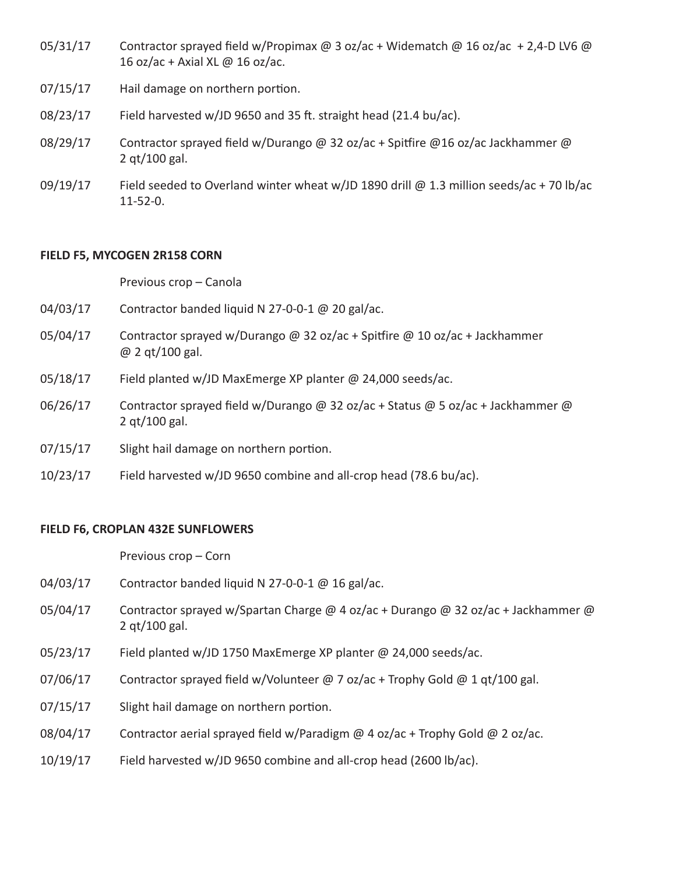- 05/31/17 Contractor sprayed field w/Propimax @ 3 oz/ac + Widematch @ 16 oz/ac + 2,4-D LV6 @ 16 oz/ac + Axial XL @ 16 oz/ac.
- 07/15/17 Hail damage on northern portion.
- $08/23/17$  Field harvested w/JD 9650 and 35 ft. straight head (21.4 bu/ac).
- 08/29/17 Contractor sprayed field w/Durango @ 32 oz/ac + Spitfire @16 oz/ac Jackhammer @ 2 qt/100 gal.
- 09/19/17 Field seeded to Overland winter wheat w/JD 1890 drill  $\omega$  1.3 million seeds/ac + 70 lb/ac 11-52-0.

#### **FIELD F5, MYCOGEN 2R158 CORN**

Previous crop – Canola

- 04/03/17 Contractor banded liquid N 27-0-0-1 @ 20 gal/ac.
- 05/04/17 Contractor sprayed w/Durango @ 32 oz/ac + Spitfire @ 10 oz/ac + Jackhammer @ 2 qt/100 gal.
- 05/18/17 Field planted w/JD MaxEmerge XP planter @ 24,000 seeds/ac.
- 06/26/17 Contractor sprayed field w/Durango @ 32 oz/ac + Status @ 5 oz/ac + Jackhammer @ 2 qt/100 gal.
- 07/15/17 Slight hail damage on northern portion.
- 10/23/17 Field harvested w/JD 9650 combine and all-crop head (78.6 bu/ac).

#### **FIELD F6, CROPLAN 432E SUNFLOWERS**

Previous crop – Corn

- 04/03/17 Contractor banded liquid N 27-0-0-1 @ 16 gal/ac.
- 05/04/17 Contractor sprayed w/Spartan Charge @ 4 oz/ac + Durango @ 32 oz/ac + Jackhammer @ 2 qt/100 gal.
- 05/23/17 Field planted w/JD 1750 MaxEmerge XP planter @ 24,000 seeds/ac.
- 07/06/17 Contractor sprayed field w/Volunteer  $\omega$  7 oz/ac + Trophy Gold  $\omega$  1 qt/100 gal.
- 07/15/17 Slight hail damage on northern portion.
- 08/04/17 Contractor aerial sprayed field w/Paradigm  $@$  4 oz/ac + Trophy Gold  $@$  2 oz/ac.
- 10/19/17 Field harvested w/JD 9650 combine and all-crop head (2600 lb/ac).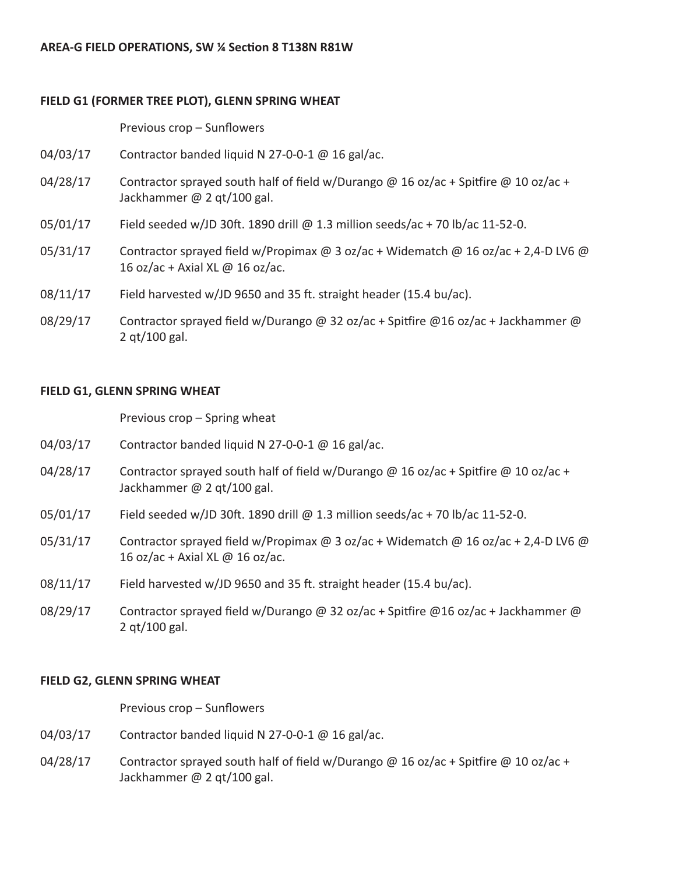# **FIELD G1 (FORMER TREE PLOT), GLENN SPRING WHEAT**

 Previous crop – Sunflowers

- 04/03/17 Contractor banded liquid N 27-0-0-1 @ 16 gal/ac.
- 04/28/17 Contractor sprayed south half of field w/Durango @ 16 oz/ac + Spitfire @ 10 oz/ac + Jackhammer @ 2 qt/100 gal.
- $05/01/17$  Field seeded w/JD 30ft. 1890 drill @ 1.3 million seeds/ac + 70 lb/ac 11-52-0.
- 05/31/17 Contractor sprayed field w/Propimax  $\omega$  3 oz/ac + Widematch  $\omega$  16 oz/ac + 2,4-D LV6  $\omega$ 16 oz/ac + Axial XL @ 16 oz/ac.
- $08/11/17$  Field harvested w/JD 9650 and 35 ft. straight header (15.4 bu/ac).
- 08/29/17 Contractor sprayed field w/Durango @ 32 oz/ac + Spitfire @16 oz/ac + Jackhammer @ 2 qt/100 gal.

## **FIELD G1, GLENN SPRING WHEAT**

Previous crop – Spring wheat

- 04/03/17 Contractor banded liquid N 27-0-0-1 @ 16 gal/ac.
- 04/28/17 Contractor sprayed south half of field w/Durango @ 16 oz/ac + Spitfire @ 10 oz/ac + Jackhammer @ 2 qt/100 gal.
- 05/01/17 Field seeded w/JD 30ft. 1890 drill @ 1.3 million seeds/ac + 70 lb/ac 11-52-0.
- 05/31/17 Contractor sprayed field w/Propimax  $\omega$  3 oz/ac + Widematch  $\omega$  16 oz/ac + 2,4-D LV6  $\omega$ 16 oz/ac + Axial XL  $\omega$  16 oz/ac.
- $08/11/17$  Field harvested w/JD 9650 and 35 ft. straight header (15.4 bu/ac).
- 08/29/17 Contractor sprayed field w/Durango @ 32 oz/ac + Spitfire @16 oz/ac + Jackhammer @ 2 qt/100 gal.

#### **FIELD G2, GLENN SPRING WHEAT**

 Previous crop – Sunflowers

- 04/03/17 Contractor banded liquid N 27-0-0-1 @ 16 gal/ac.
- 04/28/17 Contractor sprayed south half of field w/Durango @ 16 oz/ac + Spitfire @ 10 oz/ac + Jackhammer @ 2 qt/100 gal.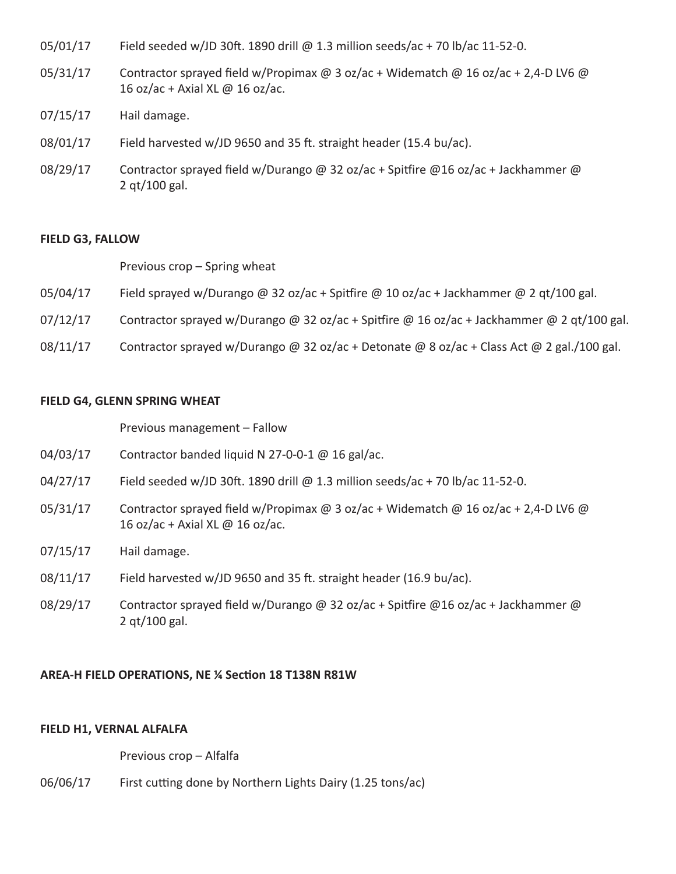- $05/01/17$  Field seeded w/JD 30ft. 1890 drill @ 1.3 million seeds/ac + 70 lb/ac 11-52-0.
- 05/31/17 Contractor sprayed field w/Propimax @ 3 oz/ac + Widematch @ 16 oz/ac + 2,4-D LV6 @ 16 oz/ac + Axial XL @ 16 oz/ac.
- 07/15/17 Hail damage.
- $08/01/17$  Field harvested w/JD 9650 and 35 ft. straight header (15.4 bu/ac).
- 08/29/17 Contractor sprayed field w/Durango @ 32 oz/ac + Spitfire @16 oz/ac + Jackhammer @ 2 qt/100 gal.

#### **FIELD G3, FALLOW**

Previous crop – Spring wheat

- 05/04/17 Field sprayed w/Durango @ 32 oz/ac + Spitfire @ 10 oz/ac + Jackhammer @ 2 qt/100 gal.
- $07/12/17$  Contractor sprayed w/Durango @ 32 oz/ac + Spitfire @ 16 oz/ac + Jackhammer @ 2 qt/100 gal.
- 08/11/17 Contractor sprayed w/Durango @ 32 oz/ac + Detonate @ 8 oz/ac + Class Act @ 2 gal./100 gal.

#### **FIELD G4, GLENN SPRING WHEAT**

Previous management – Fallow

- 04/03/17 Contractor banded liquid N 27-0-0-1 @ 16 gal/ac.
- 04/27/17 Field seeded w/JD 30ft. 1890 drill @ 1.3 million seeds/ac + 70 lb/ac 11-52-0.
- 05/31/17 Contractor sprayed field w/Propimax @ 3 oz/ac + Widematch @ 16 oz/ac + 2,4-D LV6 @ 16 oz/ac + Axial XL @ 16 oz/ac.
- 07/15/17 Hail damage.
- 08/11/17 Field harvested w/JD 9650 and 35 ft. straight header (16.9 bu/ac).
- 08/29/17 Contractor sprayed field w/Durango @ 32 oz/ac + Spitfire @16 oz/ac + Jackhammer @ 2 qt/100 gal.

#### **AREA-H FIELD OPERATIONS, NE ¼ Section 18 T138N R81W**

#### **FIELD H1, VERNAL ALFALFA**

Previous crop – Alfalfa

06/06/17 First cutting done by Northern Lights Dairy (1.25 tons/ac)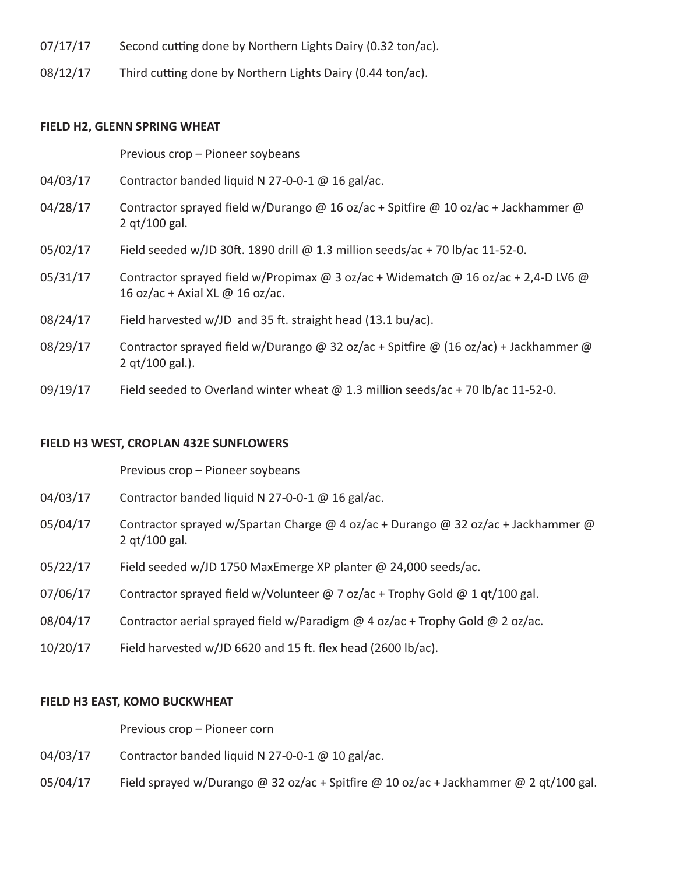- $07/17/17$  Second cutting done by Northern Lights Dairy (0.32 ton/ac).
- 08/12/17 Third cutting done by Northern Lights Dairy (0.44 ton/ac).

#### **FIELD H2, GLENN SPRING WHEAT**

Previous crop – Pioneer soybeans

- 04/03/17 Contractor banded liquid N 27-0-0-1 @ 16 gal/ac.
- 04/28/17 Contractor sprayed field w/Durango @ 16 oz/ac + Spitfire @ 10 oz/ac + Jackhammer @ 2 qt/100 gal.
- 05/02/17 Field seeded w/JD 30ft. 1890 drill @ 1.3 million seeds/ac + 70 lb/ac 11-52-0.
- 05/31/17 Contractor sprayed field w/Propimax @ 3 oz/ac + Widematch @ 16 oz/ac + 2,4-D LV6 @ 16 oz/ac + Axial XL @ 16 oz/ac.
- $08/24/17$  Field harvested w/JD and 35 ft. straight head (13.1 bu/ac).
- 08/29/17 Contractor sprayed field w/Durango @ 32 oz/ac + Spitfire @ (16 oz/ac) + Jackhammer @ 2 qt/100 gal.).
- 09/19/17 Field seeded to Overland winter wheat  $\omega$  1.3 million seeds/ac + 70 lb/ac 11-52-0.

#### **FIELD H3 WEST, CROPLAN 432E SUNFLOWERS**

Previous crop – Pioneer soybeans

- 04/03/17 Contractor banded liquid N 27-0-0-1 @ 16 gal/ac.
- 05/04/17 Contractor sprayed w/Spartan Charge @ 4 oz/ac + Durango @ 32 oz/ac + Jackhammer @ 2 qt/100 gal.
- 05/22/17 Field seeded w/JD 1750 MaxEmerge XP planter @ 24,000 seeds/ac.
- 07/06/17 Contractor sprayed field w/Volunteer @ 7 oz/ac + Trophy Gold @ 1 qt/100 gal.
- 08/04/17 Contractor aerial sprayed field w/Paradigm  $@$  4 oz/ac + Trophy Gold  $@$  2 oz/ac.
- $10/20/17$  Field harvested w/JD 6620 and 15 ft. flex head (2600 lb/ac).

#### **FIELD H3 EAST, KOMO BUCKWHEAT**

Previous crop – Pioneer corn

- 04/03/17 Contractor banded liquid N 27-0-0-1 @ 10 gal/ac.
- 05/04/17 Field sprayed w/Durango @ 32 oz/ac + Spitfire @ 10 oz/ac + Jackhammer @ 2 qt/100 gal.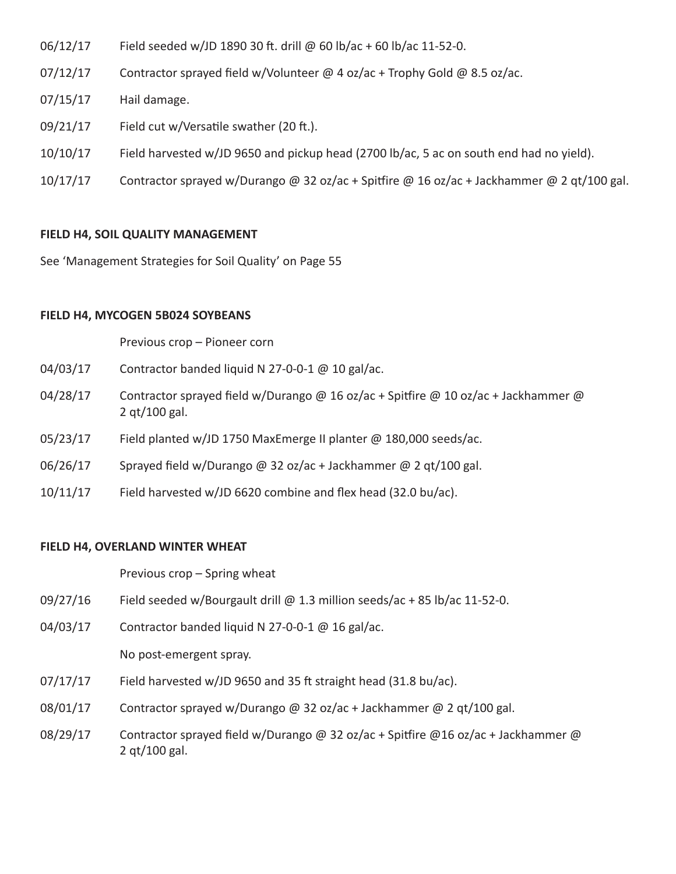- $06/12/17$  Field seeded w/JD 1890 30 ft. drill @ 60 lb/ac + 60 lb/ac 11-52-0.
- $07/12/17$  Contractor sprayed field w/Volunteer @ 4 oz/ac + Trophy Gold @ 8.5 oz/ac.
- 07/15/17 Hail damage.
- 09/21/17 Field cut w/Versatile swather (20 ft.).
- 10/10/17 Field harvested w/JD 9650 and pickup head (2700 lb/ac, 5 ac on south end had no yield).
- 10/17/17 Contractor sprayed w/Durango @ 32 oz/ac + Spitfire @ 16 oz/ac + Jackhammer @ 2 qt/100 gal.

## **FIELD H4, SOIL QUALITY MANAGEMENT**

See 'Management Strategies for Soil Quality' on Page 55

## **FIELD H4, MYCOGEN 5B024 SOYBEANS**

Previous crop – Pioneer corn

- 04/03/17 Contractor banded liquid N 27-0-0-1 @ 10 gal/ac.
- 04/28/17 Contractor sprayed field w/Durango @ 16 oz/ac + Spitfire @ 10 oz/ac + Jackhammer @ 2 qt/100 gal.
- 05/23/17 Field planted w/JD 1750 MaxEmerge II planter @ 180,000 seeds/ac.
- 06/26/17 Sprayed field w/Durango @ 32 oz/ac + Jackhammer @ 2 qt/100 gal.
- 10/11/17 Field harvested w/JD 6620 combine and flex head (32.0 bu/ac).

#### **FIELD H4, OVERLAND WINTER WHEAT**

Previous crop – Spring wheat

- 09/27/16 Field seeded w/Bourgault drill @ 1.3 million seeds/ac + 85 lb/ac 11-52-0.
- 04/03/17 Contractor banded liquid N 27-0-0-1 @ 16 gal/ac.

#### No post-emergent spray.

- $07/17/17$  Field harvested w/JD 9650 and 35 ft straight head (31.8 bu/ac).
- 08/01/17 Contractor sprayed w/Durango @ 32 oz/ac + Jackhammer @ 2 qt/100 gal.
- 08/29/17 Contractor sprayed field w/Durango @ 32 oz/ac + Spitfire @16 oz/ac + Jackhammer @ 2 qt/100 gal.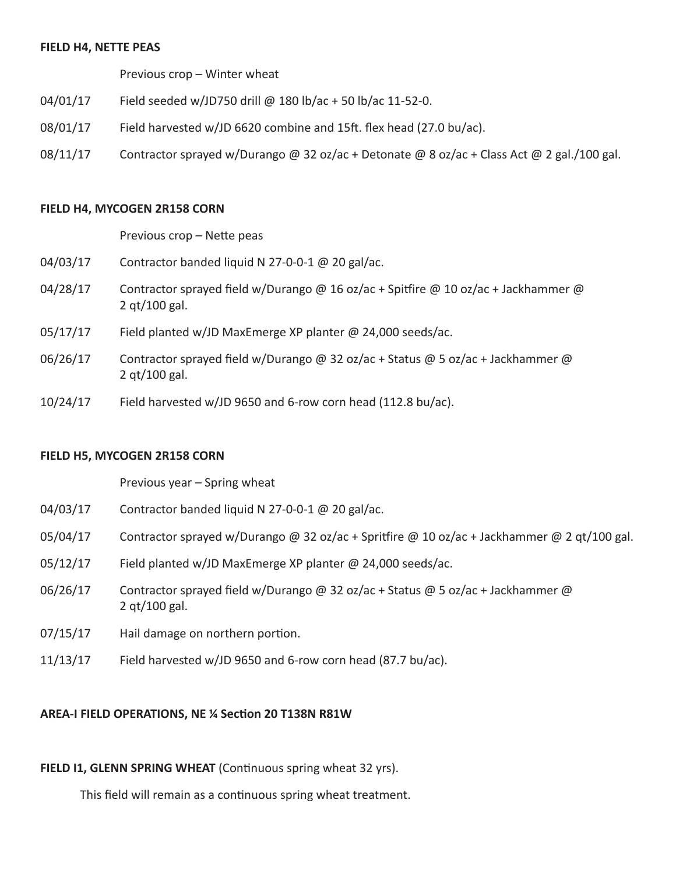#### **FIELD H4, NETTE PEAS**

 Previous crop – Winter wheat

- 04/01/17 Field seeded w/JD750 drill @ 180 lb/ac + 50 lb/ac 11-52-0.
- $08/01/17$  Field harvested w/JD 6620 combine and 15ft. flex head (27.0 bu/ac).
- 08/11/17 Contractor sprayed w/Durango @ 32 oz/ac + Detonate @ 8 oz/ac + Class Act @ 2 gal./100 gal.

#### **FIELD H4, MYCOGEN 2R158 CORN**

 Previous crop – Nette peas

- 04/03/17 Contractor banded liquid N 27-0-0-1 @ 20 gal/ac.
- 04/28/17 Contractor sprayed field w/Durango @ 16 oz/ac + Spitfire @ 10 oz/ac + Jackhammer @ 2 qt/100 gal.
- 05/17/17 Field planted w/JD MaxEmerge XP planter @ 24,000 seeds/ac.
- 06/26/17 Contractor sprayed field w/Durango @ 32 oz/ac + Status @ 5 oz/ac + Jackhammer @ 2 qt/100 gal.
- $10/24/17$  Field harvested w/JD 9650 and 6-row corn head (112.8 bu/ac).

#### **FIELD H5, MYCOGEN 2R158 CORN**

Previous year – Spring wheat

- 04/03/17 Contractor banded liquid N 27-0-0-1 @ 20 gal/ac.
- 05/04/17 Contractor sprayed w/Durango @ 32 oz/ac + Spritfire @ 10 oz/ac + Jackhammer @ 2 qt/100 gal.
- 05/12/17 Field planted w/JD MaxEmerge XP planter @ 24,000 seeds/ac.
- 06/26/17 Contractor sprayed field w/Durango @ 32 oz/ac + Status @ 5 oz/ac + Jackhammer @ 2 qt/100 gal.
- 07/15/17 Hail damage on northern portion.
- $11/13/17$  Field harvested w/JD 9650 and 6-row corn head (87.7 bu/ac).

#### **AREA-I FIELD OPERATIONS, NE ¼ Section 20 T138N R81W**

#### FIELD I1, GLENN SPRING WHEAT (Continuous spring wheat 32 yrs).

 This field will remain as a continuous spring wheat treatment.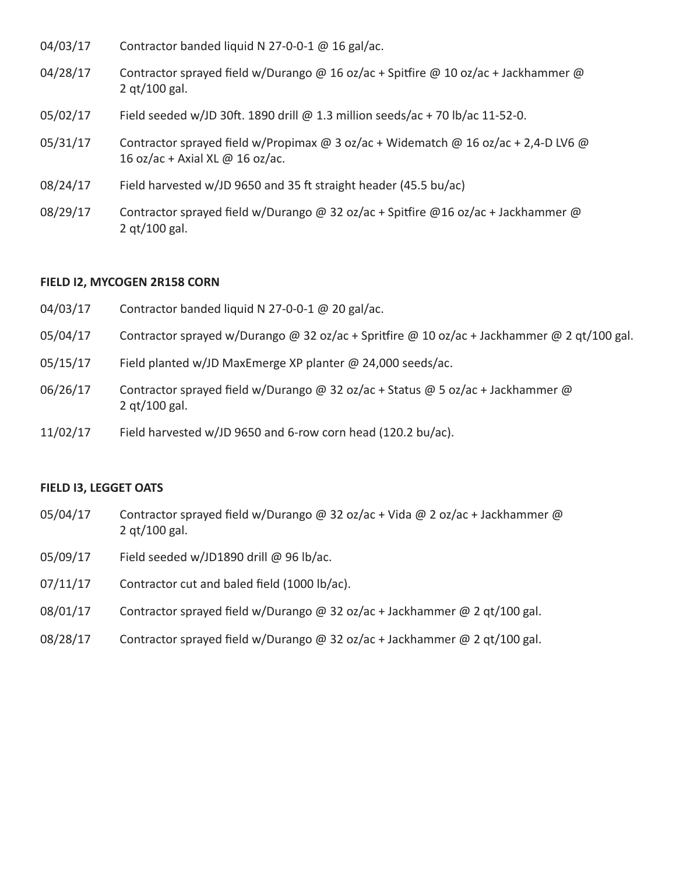- 04/03/17 Contractor banded liquid N 27-0-0-1 @ 16 gal/ac.
- 04/28/17 Contractor sprayed field w/Durango @ 16 oz/ac + Spitfire @ 10 oz/ac + Jackhammer @ 2 qt/100 gal.
- 05/02/17 Field seeded w/JD 30ft. 1890 drill @ 1.3 million seeds/ac + 70 lb/ac 11-52-0.
- 05/31/17 Contractor sprayed field w/Propimax  $\omega$  3 oz/ac + Widematch  $\omega$  16 oz/ac + 2,4-D LV6  $\omega$ 16 oz/ac + Axial XL @ 16 oz/ac.
- 08/24/17 Field harvested w/JD 9650 and 35 ft straight header (45.5 bu/ac)
- 08/29/17 Contractor sprayed field w/Durango @ 32 oz/ac + Spitfire @16 oz/ac + Jackhammer @ 2 qt/100 gal.

#### **FIELD I2, MYCOGEN 2R158 CORN**

- 04/03/17 Contractor banded liquid N 27-0-0-1 @ 20 gal/ac. 05/04/17 Contractor sprayed w/Durango @ 32 oz/ac + Spritfire @ 10 oz/ac + Jackhammer @ 2 qt/100 gal. 05/15/17 Field planted w/JD MaxEmerge XP planter @ 24,000 seeds/ac. 06/26/17 Contractor sprayed field w/Durango @ 32 oz/ac + Status @ 5 oz/ac + Jackhammer @ 2 qt/100 gal.
- 11/02/17 Field harvested w/JD 9650 and 6-row corn head (120.2 bu/ac).

#### **FIELD I3, LEGGET OATS**

- 05/04/17 Contractor sprayed field w/Durango @ 32 oz/ac + Vida @ 2 oz/ac + Jackhammer @ 2 qt/100 gal.
- 05/09/17 Field seeded w/JD1890 drill @ 96 lb/ac.
- 07/11/17 Contractor cut and baled field (1000 lb/ac).
- $08/01/17$  Contractor sprayed field w/Durango @ 32 oz/ac + Jackhammer @ 2 qt/100 gal.
- 08/28/17 Contractor sprayed field w/Durango @ 32 oz/ac + Jackhammer @ 2 qt/100 gal.